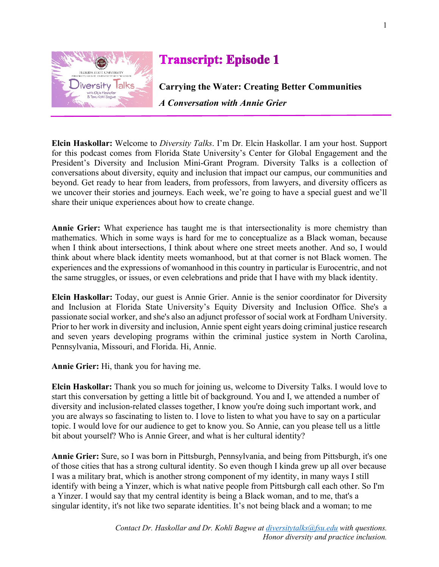

## **Transcript: Episode 1**

**Carrying the Water: Creating Better Communities**  *A Conversation with Annie Grier*

**Elcin Haskollar:** Welcome to *Diversity Talks*. I'm Dr. Elcin Haskollar. I am your host. Support for this podcast comes from Florida State University's Center for Global Engagement and the President's Diversity and Inclusion Mini-Grant Program. Diversity Talks is a collection of conversations about diversity, equity and inclusion that impact our campus, our communities and beyond. Get ready to hear from leaders, from professors, from lawyers, and diversity officers as we uncover their stories and journeys. Each week, we're going to have a special guest and we'll share their unique experiences about how to create change.

**Annie Grier:** What experience has taught me is that intersectionality is more chemistry than mathematics. Which in some ways is hard for me to conceptualize as a Black woman, because when I think about intersections, I think about where one street meets another. And so, I would think about where black identity meets womanhood, but at that corner is not Black women. The experiences and the expressions of womanhood in this country in particular is Eurocentric, and not the same struggles, or issues, or even celebrations and pride that I have with my black identity.

**Elcin Haskollar:** Today, our guest is Annie Grier. Annie is the senior coordinator for Diversity and Inclusion at Florida State University's Equity Diversity and Inclusion Office. She's a passionate social worker, and she's also an adjunct professor of social work at Fordham University. Prior to her work in diversity and inclusion, Annie spent eight years doing criminal justice research and seven years developing programs within the criminal justice system in North Carolina, Pennsylvania, Missouri, and Florida. Hi, Annie.

**Annie Grier:** Hi, thank you for having me.

**Elcin Haskollar:** Thank you so much for joining us, welcome to Diversity Talks. I would love to start this conversation by getting a little bit of background. You and I, we attended a number of diversity and inclusion-related classes together, I know you're doing such important work, and you are always so fascinating to listen to. I love to listen to what you have to say on a particular topic. I would love for our audience to get to know you. So Annie, can you please tell us a little bit about yourself? Who is Annie Greer, and what is her cultural identity?

**Annie Grier:** Sure, so I was born in Pittsburgh, Pennsylvania, and being from Pittsburgh, it's one of those cities that has a strong cultural identity. So even though I kinda grew up all over because I was a military brat, which is another strong component of my identity, in many ways I still identify with being a Yinzer, which is what native people from Pittsburgh call each other. So I'm a Yinzer. I would say that my central identity is being a Black woman, and to me, that's a singular identity, it's not like two separate identities. It's not being black and a woman; to me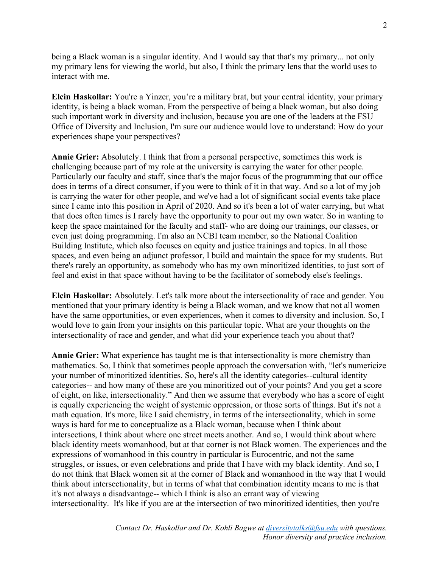being a Black woman is a singular identity. And I would say that that's my primary... not only my primary lens for viewing the world, but also, I think the primary lens that the world uses to interact with me.

**Elcin Haskollar:** You're a Yinzer, you're a military brat, but your central identity, your primary identity, is being a black woman. From the perspective of being a black woman, but also doing such important work in diversity and inclusion, because you are one of the leaders at the FSU Office of Diversity and Inclusion, I'm sure our audience would love to understand: How do your experiences shape your perspectives?

**Annie Grier:** Absolutely. I think that from a personal perspective, sometimes this work is challenging because part of my role at the university is carrying the water for other people. Particularly our faculty and staff, since that's the major focus of the programming that our office does in terms of a direct consumer, if you were to think of it in that way. And so a lot of my job is carrying the water for other people, and we've had a lot of significant social events take place since I came into this position in April of 2020. And so it's been a lot of water carrying, but what that does often times is I rarely have the opportunity to pour out my own water. So in wanting to keep the space maintained for the faculty and staff- who are doing our trainings, our classes, or even just doing programming. I'm also an NCBI team member, so the National Coalition Building Institute, which also focuses on equity and justice trainings and topics. In all those spaces, and even being an adjunct professor, I build and maintain the space for my students. But there's rarely an opportunity, as somebody who has my own minoritized identities, to just sort of feel and exist in that space without having to be the facilitator of somebody else's feelings.

**Elcin Haskollar:** Absolutely. Let's talk more about the intersectionality of race and gender. You mentioned that your primary identity is being a Black woman, and we know that not all women have the same opportunities, or even experiences, when it comes to diversity and inclusion. So, I would love to gain from your insights on this particular topic. What are your thoughts on the intersectionality of race and gender, and what did your experience teach you about that?

**Annie Grier:** What experience has taught me is that intersectionality is more chemistry than mathematics. So, I think that sometimes people approach the conversation with, "let's numericize your number of minoritized identities. So, here's all the identity categories--cultural identity categories-- and how many of these are you minoritized out of your points? And you get a score of eight, on like, intersectionality." And then we assume that everybody who has a score of eight is equally experiencing the weight of systemic oppression, or those sorts of things. But it's not a math equation. It's more, like I said chemistry, in terms of the intersectionality, which in some ways is hard for me to conceptualize as a Black woman, because when I think about intersections, I think about where one street meets another. And so, I would think about where black identity meets womanhood, but at that corner is not Black women. The experiences and the expressions of womanhood in this country in particular is Eurocentric, and not the same struggles, or issues, or even celebrations and pride that I have with my black identity. And so, I do not think that Black women sit at the corner of Black and womanhood in the way that I would think about intersectionality, but in terms of what that combination identity means to me is that it's not always a disadvantage-- which I think is also an errant way of viewing intersectionality. It's like if you are at the intersection of two minoritized identities, then you're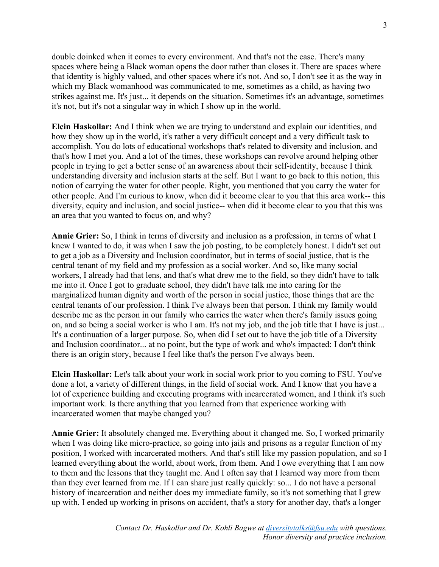double doinked when it comes to every environment. And that's not the case. There's many spaces where being a Black woman opens the door rather than closes it. There are spaces where that identity is highly valued, and other spaces where it's not. And so, I don't see it as the way in which my Black womanhood was communicated to me, sometimes as a child, as having two strikes against me. It's just... it depends on the situation. Sometimes it's an advantage, sometimes it's not, but it's not a singular way in which I show up in the world.

**Elcin Haskollar:** And I think when we are trying to understand and explain our identities, and how they show up in the world, it's rather a very difficult concept and a very difficult task to accomplish. You do lots of educational workshops that's related to diversity and inclusion, and that's how I met you. And a lot of the times, these workshops can revolve around helping other people in trying to get a better sense of an awareness about their self-identity, because I think understanding diversity and inclusion starts at the self. But I want to go back to this notion, this notion of carrying the water for other people. Right, you mentioned that you carry the water for other people. And I'm curious to know, when did it become clear to you that this area work-- this diversity, equity and inclusion, and social justice-- when did it become clear to you that this was an area that you wanted to focus on, and why?

**Annie Grier:** So, I think in terms of diversity and inclusion as a profession, in terms of what I knew I wanted to do, it was when I saw the job posting, to be completely honest. I didn't set out to get a job as a Diversity and Inclusion coordinator, but in terms of social justice, that is the central tenant of my field and my profession as a social worker. And so, like many social workers, I already had that lens, and that's what drew me to the field, so they didn't have to talk me into it. Once I got to graduate school, they didn't have talk me into caring for the marginalized human dignity and worth of the person in social justice, those things that are the central tenants of our profession. I think I've always been that person. I think my family would describe me as the person in our family who carries the water when there's family issues going on, and so being a social worker is who I am. It's not my job, and the job title that I have is just... It's a continuation of a larger purpose. So, when did I set out to have the job title of a Diversity and Inclusion coordinator... at no point, but the type of work and who's impacted: I don't think there is an origin story, because I feel like that's the person I've always been.

**Elcin Haskollar:** Let's talk about your work in social work prior to you coming to FSU. You've done a lot, a variety of different things, in the field of social work. And I know that you have a lot of experience building and executing programs with incarcerated women, and I think it's such important work. Is there anything that you learned from that experience working with incarcerated women that maybe changed you?

**Annie Grier:** It absolutely changed me. Everything about it changed me. So, I worked primarily when I was doing like micro-practice, so going into jails and prisons as a regular function of my position, I worked with incarcerated mothers. And that's still like my passion population, and so I learned everything about the world, about work, from them. And I owe everything that I am now to them and the lessons that they taught me. And I often say that I learned way more from them than they ever learned from me. If I can share just really quickly: so... I do not have a personal history of incarceration and neither does my immediate family, so it's not something that I grew up with. I ended up working in prisons on accident, that's a story for another day, that's a longer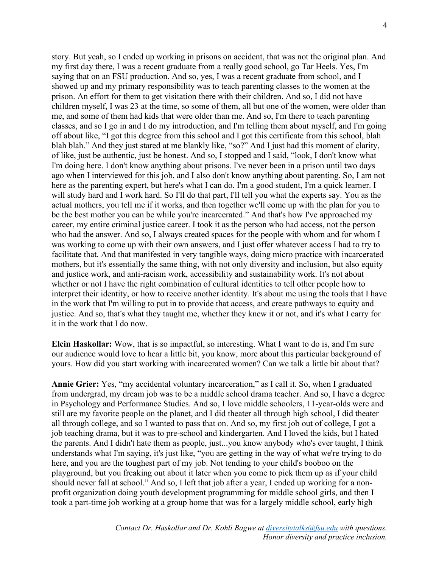story. But yeah, so I ended up working in prisons on accident, that was not the original plan. And my first day there, I was a recent graduate from a really good school, go Tar Heels. Yes, I'm saying that on an FSU production. And so, yes, I was a recent graduate from school, and I showed up and my primary responsibility was to teach parenting classes to the women at the prison. An effort for them to get visitation there with their children. And so, I did not have children myself, I was 23 at the time, so some of them, all but one of the women, were older than me, and some of them had kids that were older than me. And so, I'm there to teach parenting classes, and so I go in and I do my introduction, and I'm telling them about myself, and I'm going off about like, "I got this degree from this school and I got this certificate from this school, blah blah blah." And they just stared at me blankly like, "so?" And I just had this moment of clarity, of like, just be authentic, just be honest. And so, I stopped and I said, "look, I don't know what I'm doing here. I don't know anything about prisons. I've never been in a prison until two days ago when I interviewed for this job, and I also don't know anything about parenting. So, I am not here as the parenting expert, but here's what I can do. I'm a good student, I'm a quick learner. I will study hard and I work hard. So I'll do that part, I'll tell you what the experts say. You as the actual mothers, you tell me if it works, and then together we'll come up with the plan for you to be the best mother you can be while you're incarcerated." And that's how I've approached my career, my entire criminal justice career. I took it as the person who had access, not the person who had the answer. And so, I always created spaces for the people with whom and for whom I was working to come up with their own answers, and I just offer whatever access I had to try to facilitate that. And that manifested in very tangible ways, doing micro practice with incarcerated mothers, but it's essentially the same thing, with not only diversity and inclusion, but also equity and justice work, and anti-racism work, accessibility and sustainability work. It's not about whether or not I have the right combination of cultural identities to tell other people how to interpret their identity, or how to receive another identity. It's about me using the tools that I have in the work that I'm willing to put in to provide that access, and create pathways to equity and justice. And so, that's what they taught me, whether they knew it or not, and it's what I carry for it in the work that I do now.

**Elcin Haskollar:** Wow, that is so impactful, so interesting. What I want to do is, and I'm sure our audience would love to hear a little bit, you know, more about this particular background of yours. How did you start working with incarcerated women? Can we talk a little bit about that?

**Annie Grier:** Yes, "my accidental voluntary incarceration," as I call it. So, when I graduated from undergrad, my dream job was to be a middle school drama teacher. And so, I have a degree in Psychology and Performance Studies. And so, I love middle schoolers, 11-year-olds were and still are my favorite people on the planet, and I did theater all through high school, I did theater all through college, and so I wanted to pass that on. And so, my first job out of college, I got a job teaching drama, but it was to pre-school and kindergarten. And I loved the kids, but I hated the parents. And I didn't hate them as people, just...you know anybody who's ever taught, I think understands what I'm saying, it's just like, "you are getting in the way of what we're trying to do here, and you are the toughest part of my job. Not tending to your child's booboo on the playground, but you freaking out about it later when you come to pick them up as if your child should never fall at school." And so, I left that job after a year, I ended up working for a nonprofit organization doing youth development programming for middle school girls, and then I took a part-time job working at a group home that was for a largely middle school, early high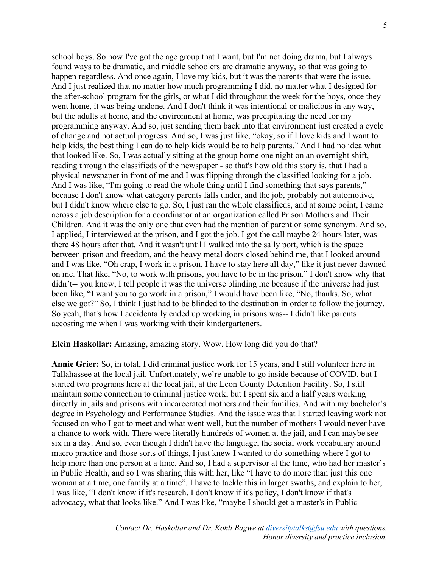school boys. So now I've got the age group that I want, but I'm not doing drama, but I always found ways to be dramatic, and middle schoolers are dramatic anyway, so that was going to happen regardless. And once again, I love my kids, but it was the parents that were the issue. And I just realized that no matter how much programming I did, no matter what I designed for the after-school program for the girls, or what I did throughout the week for the boys, once they went home, it was being undone. And I don't think it was intentional or malicious in any way, but the adults at home, and the environment at home, was precipitating the need for my programming anyway. And so, just sending them back into that environment just created a cycle of change and not actual progress. And so, I was just like, "okay, so if I love kids and I want to help kids, the best thing I can do to help kids would be to help parents." And I had no idea what that looked like. So, I was actually sitting at the group home one night on an overnight shift, reading through the classifieds of the newspaper - so that's how old this story is, that I had a physical newspaper in front of me and I was flipping through the classified looking for a job. And I was like, "I'm going to read the whole thing until I find something that says parents," because I don't know what category parents falls under, and the job, probably not automotive, but I didn't know where else to go. So, I just ran the whole classifieds, and at some point, I came across a job description for a coordinator at an organization called Prison Mothers and Their Children. And it was the only one that even had the mention of parent or some synonym. And so, I applied, I interviewed at the prison, and I got the job. I got the call maybe 24 hours later, was there 48 hours after that. And it wasn't until I walked into the sally port, which is the space between prison and freedom, and the heavy metal doors closed behind me, that I looked around and I was like, "Oh crap, I work in a prison. I have to stay here all day," like it just never dawned on me. That like, "No, to work with prisons, you have to be in the prison." I don't know why that didn't-- you know, I tell people it was the universe blinding me because if the universe had just been like, "I want you to go work in a prison," I would have been like, "No, thanks. So, what else we got?" So, I think I just had to be blinded to the destination in order to follow the journey. So yeah, that's how I accidentally ended up working in prisons was-- I didn't like parents accosting me when I was working with their kindergarteners.

**Elcin Haskollar:** Amazing, amazing story. Wow. How long did you do that?

**Annie Grier:** So, in total, I did criminal justice work for 15 years, and I still volunteer here in Tallahassee at the local jail. Unfortunately, we're unable to go inside because of COVID, but I started two programs here at the local jail, at the Leon County Detention Facility. So, I still maintain some connection to criminal justice work, but I spent six and a half years working directly in jails and prisons with incarcerated mothers and their families. And with my bachelor's degree in Psychology and Performance Studies. And the issue was that I started leaving work not focused on who I got to meet and what went well, but the number of mothers I would never have a chance to work with. There were literally hundreds of women at the jail, and I can maybe see six in a day. And so, even though I didn't have the language, the social work vocabulary around macro practice and those sorts of things, I just knew I wanted to do something where I got to help more than one person at a time. And so, I had a supervisor at the time, who had her master's in Public Health, and so I was sharing this with her, like "I have to do more than just this one woman at a time, one family at a time". I have to tackle this in larger swaths, and explain to her, I was like, "I don't know if it's research, I don't know if it's policy, I don't know if that's advocacy, what that looks like." And I was like, "maybe I should get a master's in Public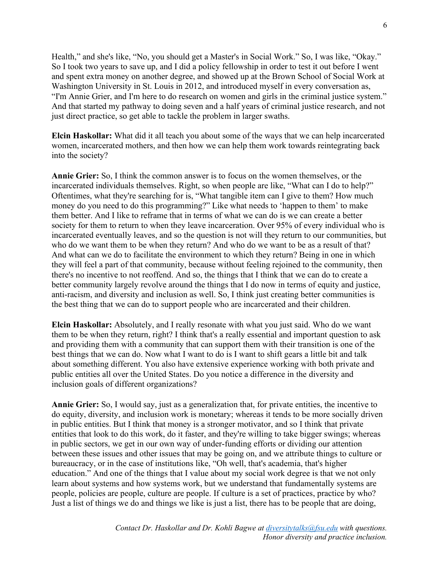Health," and she's like, "No, you should get a Master's in Social Work." So, I was like, "Okay." So I took two years to save up, and I did a policy fellowship in order to test it out before I went and spent extra money on another degree, and showed up at the Brown School of Social Work at Washington University in St. Louis in 2012, and introduced myself in every conversation as, "I'm Annie Grier, and I'm here to do research on women and girls in the criminal justice system." And that started my pathway to doing seven and a half years of criminal justice research, and not just direct practice, so get able to tackle the problem in larger swaths.

**Elcin Haskollar:** What did it all teach you about some of the ways that we can help incarcerated women, incarcerated mothers, and then how we can help them work towards reintegrating back into the society?

**Annie Grier:** So, I think the common answer is to focus on the women themselves, or the incarcerated individuals themselves. Right, so when people are like, "What can I do to help?" Oftentimes, what they're searching for is, "What tangible item can I give to them? How much money do you need to do this programming?" Like what needs to 'happen to them' to make them better. And I like to reframe that in terms of what we can do is we can create a better society for them to return to when they leave incarceration. Over 95% of every individual who is incarcerated eventually leaves, and so the question is not will they return to our communities, but who do we want them to be when they return? And who do we want to be as a result of that? And what can we do to facilitate the environment to which they return? Being in one in which they will feel a part of that community, because without feeling rejoined to the community, then there's no incentive to not reoffend. And so, the things that I think that we can do to create a better community largely revolve around the things that I do now in terms of equity and justice, anti-racism, and diversity and inclusion as well. So, I think just creating better communities is the best thing that we can do to support people who are incarcerated and their children.

**Elcin Haskollar:** Absolutely, and I really resonate with what you just said. Who do we want them to be when they return, right? I think that's a really essential and important question to ask and providing them with a community that can support them with their transition is one of the best things that we can do. Now what I want to do is I want to shift gears a little bit and talk about something different. You also have extensive experience working with both private and public entities all over the United States. Do you notice a difference in the diversity and inclusion goals of different organizations?

**Annie Grier:** So, I would say, just as a generalization that, for private entities, the incentive to do equity, diversity, and inclusion work is monetary; whereas it tends to be more socially driven in public entities. But I think that money is a stronger motivator, and so I think that private entities that look to do this work, do it faster, and they're willing to take bigger swings; whereas in public sectors, we get in our own way of under-funding efforts or dividing our attention between these issues and other issues that may be going on, and we attribute things to culture or bureaucracy, or in the case of institutions like, "Oh well, that's academia, that's higher education." And one of the things that I value about my social work degree is that we not only learn about systems and how systems work, but we understand that fundamentally systems are people, policies are people, culture are people. If culture is a set of practices, practice by who? Just a list of things we do and things we like is just a list, there has to be people that are doing,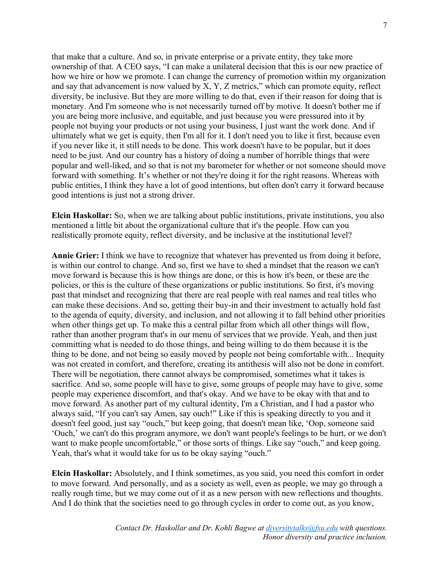that make that a culture. And so, in private enterprise or a private entity, they take more ownership of that. A CEO says, "I can make a unilateral decision that this is our new practice of how we hire or how we promote. I can change the currency of promotion within my organization and say that advancement is now valued by X, Y, Z metrics," which can promote equity, reflect diversity, be inclusive. But they are more willing to do that, even if their reason for doing that is monetary. And I'm someone who is not necessarily turned off by motive. It doesn't bother me if you are being more inclusive, and equitable, and just because you were pressured into it by people not buying your products or not using your business, I just want the work done. And if ultimately what we get is equity, then I'm all for it. I don't need you to like it first, because even if you never like it, it still needs to be done. This work doesn't have to be popular, but it does need to be just. And our country has a history of doing a number of horrible things that were popular and well-liked, and so that is not my barometer for whether or not someone should move forward with something. It's whether or not they're doing it for the right reasons. Whereas with public entities, I think they have a lot of good intentions, but often don't carry it forward because good intentions is just not a strong driver.

**Elcin Haskollar:** So, when we are talking about public institutions, private institutions, you also mentioned a little bit about the organizational culture that it's the people. How can you realistically promote equity, reflect diversity, and be inclusive at the institutional level?

**Annie Grier:** I think we have to recognize that whatever has prevented us from doing it before, is within our control to change. And so, first we have to shed a mindset that the reason we can't move forward is because this is how things are done, or this is how it's been, or these are the policies, or this is the culture of these organizations or public institutions. So first, it's moving past that mindset and recognizing that there are real people with real names and real titles who can make these decisions. And so, getting their buy-in and their investment to actually hold fast to the agenda of equity, diversity, and inclusion, and not allowing it to fall behind other priorities when other things get up. To make this a central pillar from which all other things will flow, rather than another program that's in our menu of services that we provide. Yeah, and then just committing what is needed to do those things, and being willing to do them because it is the thing to be done, and not being so easily moved by people not being comfortable with... Inequity was not created in comfort, and therefore, creating its antithesis will also not be done in comfort. There will be negotiation, there cannot always be compromised, sometimes what it takes is sacrifice. And so, some people will have to give, some groups of people may have to give, some people may experience discomfort, and that's okay. And we have to be okay with that and to move forward. As another part of my cultural identity, I'm a Christian, and I had a pastor who always said, "If you can't say Amen, say ouch!" Like if this is speaking directly to you and it doesn't feel good, just say "ouch," but keep going, that doesn't mean like, 'Oop, someone said 'Ouch,' we can't do this program anymore, we don't want people's feelings to be hurt, or we don't want to make people uncomfortable," or those sorts of things. Like say "ouch," and keep going. Yeah, that's what it would take for us to be okay saying "ouch."

**Elcin Haskollar:** Absolutely, and I think sometimes, as you said, you need this comfort in order to move forward. And personally, and as a society as well, even as people, we may go through a really rough time, but we may come out of it as a new person with new reflections and thoughts. And I do think that the societies need to go through cycles in order to come out, as you know,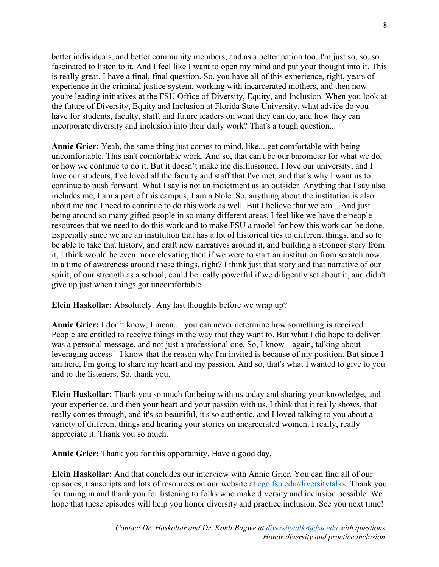better individuals, and better community members, and as a better nation too, I'm just so, so, so fascinated to listen to it. And I feel like I want to open my mind and put your thought into it. This is really great. I have a final, final question. So, you have all of this experience, right, years of experience in the criminal justice system, working with incarcerated mothers, and then now you're leading initiatives at the FSU Office of Diversity, Equity, and Inclusion. When you look at the future of Diversity, Equity and Inclusion at Florida State University, what advice do you have for students, faculty, staff, and future leaders on what they can do, and how they can incorporate diversity and inclusion into their daily work? That's a tough question...

**Annie Grier:** Yeah, the same thing just comes to mind, like... get comfortable with being uncomfortable. This isn't comfortable work. And so, that can't be our barometer for what we do, or how we continue to do it. But it doesn't make me disillusioned. I love our university, and I love our students, I've loved all the faculty and staff that I've met, and that's why I want us to continue to push forward. What I say is not an indictment as an outsider. Anything that I say also includes me, I am a part of this campus, I am a Nole. So, anything about the institution is also about me and I need to continue to do this work as well. But I believe that we can... And just being around so many gifted people in so many different areas, I feel like we have the people resources that we need to do this work and to make FSU a model for how this work can be done. Especially since we are an institution that has a lot of historical ties to different things, and so to be able to take that history, and craft new narratives around it, and building a stronger story from it, I think would be even more elevating then if we were to start an institution from scratch now in a time of awareness around these things, right? I think just that story and that narrative of our spirit, of our strength as a school, could be really powerful if we diligently set about it, and didn't give up just when things got uncomfortable.

**Elcin Haskollar:** Absolutely. Any last thoughts before we wrap up?

**Annie Grier:** I don't know, I mean.... you can never determine how something is received. People are entitled to receive things in the way that they want to. But what I did hope to deliver was a personal message, and not just a professional one. So, I know-- again, talking about leveraging access-- I know that the reason why I'm invited is because of my position. But since I am here, I'm going to share my heart and my passion. And so, that's what I wanted to give to you and to the listeners. So, thank you.

**Elcin Haskollar:** Thank you so much for being with us today and sharing your knowledge, and your experience, and then your heart and your passion with us. I think that it really shows, that really comes through, and it's so beautiful, it's so authentic, and I loved talking to you about a variety of different things and hearing your stories on incarcerated women. I really, really appreciate it. Thank you so much.

**Annie Grier:** Thank you for this opportunity. Have a good day.

**Elcin Haskollar:** And that concludes our interview with Annie Grier. You can find all of our episodes, transcripts and lots of resources on our website at [cge.fsu.edu/diversitytalks.](https://cge.fsu.edu/diversitytalks) Thank you for tuning in and thank you for listening to folks who make diversity and inclusion possible. We hope that these episodes will help you honor diversity and practice inclusion. See you next time!